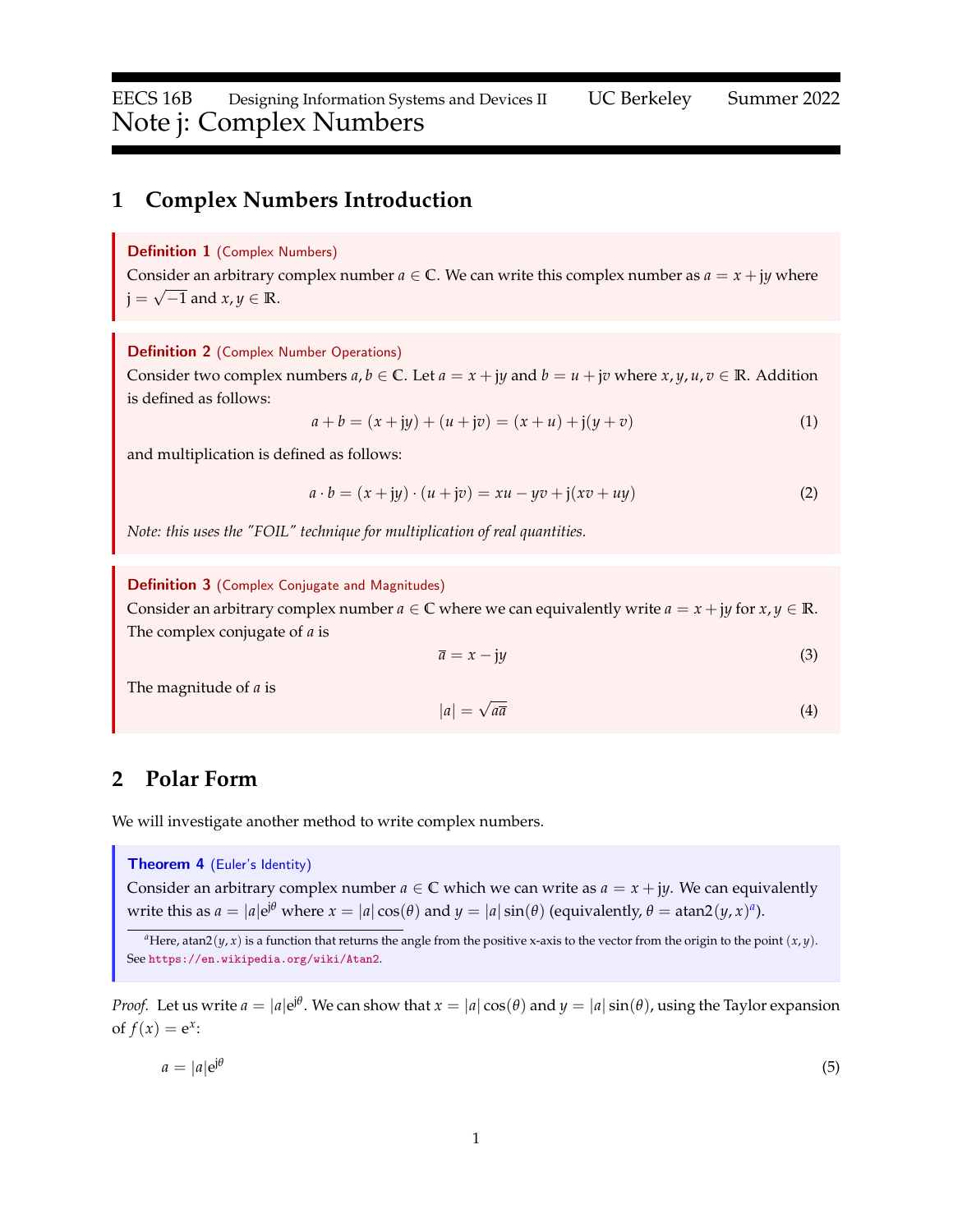# **1 Complex Numbers Introduction**

### Definition 1 (Complex Numbers)

Consider an arbitrary complex number  $a \in \mathbb{C}$ . We can write this complex number as  $a = x + jy$  where  $j =$ √ −1 and *x*, *y* ∈ **R**.

### Definition 2 (Complex Number Operations)

Consider two complex numbers  $a, b \in \mathbb{C}$ . Let  $a = x + jy$  and  $b = u + jv$  where  $x, y, u, v \in \mathbb{R}$ . Addition is defined as follows:

$$
a + b = (x + jy) + (u + jv) = (x + u) + j(y + v)
$$
\n(1)

and multiplication is defined as follows:

$$
a \cdot b = (x + jy) \cdot (u + jv) = xu - yv + j(xv + uy)
$$
\n<sup>(2)</sup>

*Note: this uses the "FOIL" technique for multiplication of real quantities.*

Definition 3 (Complex Conjugate and Magnitudes)

Consider an arbitrary complex number  $a \in \mathbb{C}$  where we can equivalently write  $a = x + jy$  for  $x, y \in \mathbb{R}$ . The complex conjugate of *a* is

$$
\overline{a} = x - jy \tag{3}
$$

The magnitude of *a* is

$$
|a| = \sqrt{a\overline{a}}\tag{4}
$$

# **2 Polar Form**

We will investigate another method to write complex numbers.

### <span id="page-0-1"></span>Theorem 4 (Euler's Identity)

Consider an arbitrary complex number  $a \in \mathbb{C}$  which we can write as  $a = x + jy$ . We can equivalently write this [a](#page-0-0)s  $a = |a|e^{j\theta}$  where  $x = |a| \cos(\theta)$  and  $y = |a| \sin(\theta)$  (equivalently,  $\theta = \text{atan2}(y, x)^a$ ).

*Proof.* Let us write  $a = |a|e^{j\theta}$ . We can show that  $x = |a|\cos(\theta)$  and  $y = |a|\sin(\theta)$ , using the Taylor expansion of  $f(x) = e^x$ :

$$
a = |a|e^{j\theta} \tag{5}
$$

<span id="page-0-0"></span><sup>&</sup>lt;sup>*a*</sup>Here, atan2(*y*, *x*) is a function that returns the angle from the positive x-axis to the vector from the origin to the point (*x*, *y*). See <https://en.wikipedia.org/wiki/Atan2>.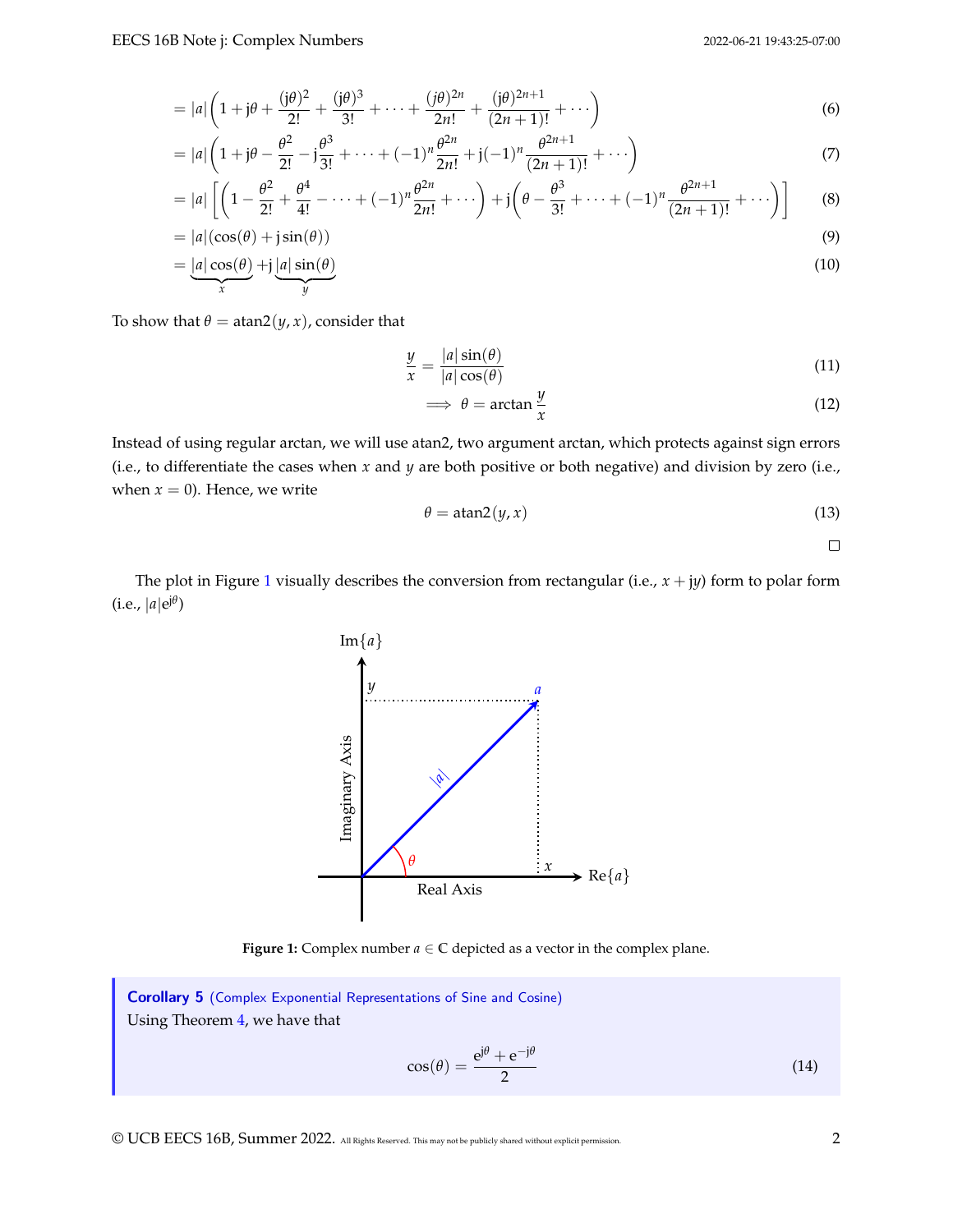$$
= |a| \left( 1 + j\theta + \frac{(j\theta)^2}{2!} + \frac{(j\theta)^3}{3!} + \dots + \frac{(j\theta)^{2n}}{2n!} + \frac{(j\theta)^{2n+1}}{(2n+1)!} + \dots \right)
$$
(6)

$$
= |a| \left( 1 + j\theta - \frac{\theta^2}{2!} - j\frac{\theta^3}{3!} + \dots + (-1)^n \frac{\theta^{2n}}{2n!} + j(-1)^n \frac{\theta^{2n+1}}{(2n+1)!} + \dots \right) \tag{7}
$$

$$
= |a| \left[ \left( 1 - \frac{\theta^2}{2!} + \frac{\theta^4}{4!} - \dots + (-1)^n \frac{\theta^{2n}}{2n!} + \dots \right) + j \left( \theta - \frac{\theta^3}{3!} + \dots + (-1)^n \frac{\theta^{2n+1}}{(2n+1)!} + \dots \right) \right]
$$
(8)

$$
= |a|(\cos(\theta) + j\sin(\theta))
$$
\n(9)

$$
= \underbrace{|a|\cos(\theta)}_{x} + j\underbrace{|a|\sin(\theta)}_{y}
$$
(10)

To show that  $\theta = \tan 2(y, x)$ , consider that

$$
\frac{y}{x} = \frac{|a|\sin(\theta)}{|a|\cos(\theta)}\tag{11}
$$

$$
\implies \theta = \arctan \frac{y}{x} \tag{12}
$$

Instead of using regular arctan, we will use atan2, two argument arctan, which protects against sign errors (i.e., to differentiate the cases when *x* and *y* are both positive or both negative) and division by zero (i.e., when  $x = 0$ ). Hence, we write

$$
\theta = \text{atan2}(y, x) \tag{13}
$$

 $\Box$ 

<span id="page-1-0"></span>The plot in Figure [1](#page-1-0) visually describes the conversion from rectangular (i.e.,  $x + jy$ ) form to polar form  $(i.e., |a|e^{j\theta})$ 



**Figure 1:** Complex number  $a \in \mathbb{C}$  depicted as a vector in the complex plane.

Corollary 5 (Complex Exponential Representations of Sine and Cosine) Using Theorem [4,](#page-0-1) we have that

$$
\cos(\theta) = \frac{e^{j\theta} + e^{-j\theta}}{2} \tag{14}
$$

© UCB EECS 16B, Summer 2022. All Rights Reserved. This may not be publicly shared without explicit permission. 2